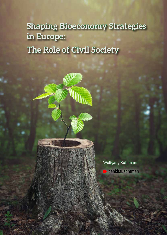# **Shaping Bioeconomy Strategies in Europe: The Role of Civil Society**



1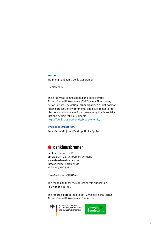#### *Author:*

Wolfgang Kuhlmann, denkhausbremen

Bremen 2022

This study was commissioned and edited by the Aktionsforum Bioökonomie (Civil Society Bioeconomy Action Forum). The Action Forum organises a joint position finding process of environmental and development organisations and advocates for a bioeconomy that is socially just and ecologically sustainable. https://denkhausbremen.de/biooekonomie/

#### *Project co-ordination:*

Peter Gerhardt, Jonas Daldrup, Ulrike Eppler

### **- --**

denkhausbremen e.V. am wall 174, 28195 bremen, germany www.denkhausbremen.de info@denkhausbremen.de +49 421 3304 8381

Cover: Shutterstock/RGB Media

The reponsibility for the content of this publication lies with the author.

The report is part of the project "Zivilgesellschaftliches Aktionsforum Bioökonomie" funded by:



Bundesministerium für Umwelt, Naturschutz und nukleare Sicherheit

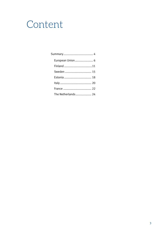# Content

| European Union 6    |
|---------------------|
| Finland 11          |
| Sweden  15          |
| Estonia  18         |
|                     |
|                     |
| The Netherlands  24 |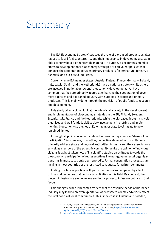## <span id="page-3-0"></span>Summary

The EU Bioeconomy Strategy<sup>1</sup> stresses the role of bio-based products as alternatives to fossil-fuel counterparts, and their importance in developing a sustainable economy based on renewable materials in Europe. It encourages member states to develop national bioeconomy strategies or equivalent policies that enhance the cooperation between primary producers (in agriculture, forestry or fisheries) and bio-based industries.

Currently, nine EU member states (Austria, Finland, France, Germany, Ireland, Italy, Latvia, Spain, and the Netherlands) have a national strategy while others are involved in national or regional bioeconomy development.<sup>2</sup> All have in common that they are primarily geared at enhancing the cooperation of government agencies and bio-based industry with support of science and primary producers. This is mainly done through the provision of public funds to research and development.

This study takes a closer look at the role of civil society in the development and implementation of bioeconomy strategies in the EU, Finland, Sweden, Estonia, Italy, France and the Netherlands. While the bio-based industry is well organized and well-funded, civil society involvement in drafting and implementing bioeconomy strategies at EU or member state level has up to now remained limited.

Although all policy documents related to bioeconomy mention "stakeholder participation" in some way or another, respective stakeholder consultations primarily address state and regional authorities, industry and their associations as well as members of the scientific community. While the opinion of individual citizens is at best taken note of in scientific studies on attitudes towards the bioeconomy, participation of representatives like non-governmental organisations has in most cases only been sporadic. Formal consultation processes are lacking in most countries or are restricted to requests for written comments.

Adding to a lack of political will, participation is also hampered by a lack of financial resources that limits NGO activities in this field. By contrast, the biotech industry has ample means and lobby power to influence politics in their favour.

This changes, when it becomes evident that the resource needs of bio-based industry may lead to an overexploitation of ecosystems or may adversely affect the livelihoods of local communities. This is the case in Finland and Sweden,

<sup>1</sup> EC, 2018, A sustainable Bioeconomy for Europe: Strengthening the connection between economy, society and the environment, COM(2018) 673, [https://eur-lex.europa.eu/](https://eur-lex.europa.eu/legal-content/EN/TXT/?uri=CELEX:52018DC0673) [legal-content/EN/TXT/?uri=CELEX:52018DC0673](https://eur-lex.europa.eu/legal-content/EN/TXT/?uri=CELEX:52018DC0673)

<sup>2</sup> https://knowledge4policy.ec.europa.eu/visualisation/bioeconomy-different-countries en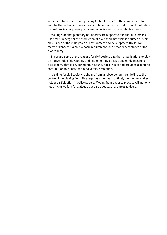where new biorefineries are pushing timber harvests to their limits, or in France and the Netherlands, where imports of biomass for the production of biofuels or for co-firing in coal power plants are not in line with sustainability criteria.

Making sure that planetary boundaries are respected and that all biomass used for bioenergy or the production of bio-based materials is sourced sustainably, is one of the main goals of environment and development NGOs. For many citizens, this also is a basic requirement for a broader acceptance of the bioeconomy.

These are some of the reasons for civil society and their organisations to play a stronger role in developing and implementing policies and guidelines for a bioeconomy that is environmentally sound, socially just and provides a genuine contribution to climate and biodiversity protection.

It is time for civil society to change from an observer on the side line to the centre of the playing field. This requires more than routinely mentioning stakeholder participation in policy papers. Moving from paper to practise will not only need inclusive fora for dialogue but also adequate resources to do so.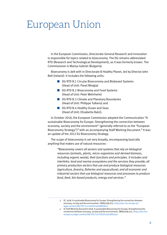# <span id="page-5-0"></span>European Union

In the European Commission, Directorate-General Research and Innovation is responsible for topics related to bioeconomy. The DG remains abbreviated RTD (Research and Technological Development), as it was formerly known. The Commissioner is Mariya Gabriel (Bulgaria).

Bioeconomy is delt with in Directorate B Healthy Planet, led by Director John Bell (Ireland). It includes the following units:

- DG RTD B.1 Circular Bioeconomy and Biobased Systems (Head of Unit: Pavel Misigia)
- DG RTD B.2 Bioeconomy and Food Systems (Head of Unit: Peter Wehrheim)
- DG RTD B.3 Climate and Planetary Boundaries (Head of Unit: Philippe Tulkens) and
- **n** DG RTD B.4 Healthy Ocean and Seas (Head of Unit: Elisabetta Balzi).

In October 2018, the European Commission adopted the Communication "A sustainable Bioeconomy for Europe: Strengthening the connection between economy, society and the environment" (generally referred to as the "European Bioeconomy Strategy")<sup>3</sup> with an accompanying Staff Working Document.<sup>4</sup> It was an update of the 2012 EU Bioeconomy Strategy.

The scope of bioeconomy is set very broadly, encompassing basically anything that makes use of natural resources:

*"Bioeconomy covers all sectors and systems that rely on biological resources (animals, plants, micro-organisms and derived biomass, including organic waste), their functions and principles. It includes and interlinks: land and marine ecosystems and the services they provide; all primary production sectors that use and produce biological resources (agriculture, forestry, fisheries and aquaculture); and all economic and industrial sectors that use biological resources and processes to produce food, feed, bio-based products, energy and services."*

<sup>3</sup> EC, 2018, A sustainable Bioeconomy for Europe: Strengthening the connection between economy, society and the environment, COM(2018) 673, [https://eur-lex.europa.eu/](https://eur-lex.europa.eu/legal-content/EN/TXT/?uri=CELEX:52018DC0673) [legal-content/EN/TXT/?uri=CELEX:52018DC0673](https://eur-lex.europa.eu/legal-content/EN/TXT/?uri=CELEX:52018DC0673)

<sup>4</sup> EC Staff Working Document 2018, A sustainable Bioeconomy for Europe: Strengthening the connection between economy, society and the environment, SWD(2018) 431, [https://eur-lex.](https://eur-lex.europa.eu/legal-content/EN/TXT/?uri=CELEX:52018SC0431) [europa.eu/legal-content/EN/TXT/?uri=CELEX:52018SC0431](https://eur-lex.europa.eu/legal-content/EN/TXT/?uri=CELEX:52018SC0431)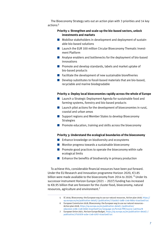The Bioeconomy Strategy sets out an action plan with 3 priorities and 14 key actions:<sup>5</sup>

### **Priority 1: Strengthen and scale-up the bio-based sectors, unlock investments and markets**

- $\blacksquare$  Mobilise stakeholders in development and deployment of sustainable bio-based solutions
- $\blacksquare$  Launch the EUR 100 million Circular Bioeconomy Thematic Investment Platform
- $\blacksquare$  Analyse enablers and bottlenecks for the deployment of bio-based innovations
- **n** Promote and develop standards, labels and market uptake of bio-based products
- $\blacksquare$  Facilitate the development of new sustainable biorefineries
- $\blacksquare$  Develop substitutes to fossil-based materials that are bio-based, recyclable and marine biodegradable

#### **Priority 2: Deploy local bioeconomies rapidly across the whole of Europe**

- $\blacksquare$  Launch a Strategic Deployment Agenda for sustainable food and farming systems, forestry and bio-based products
- $\blacksquare$  Launch pilot actions for the development of bioeconomies in rural, coastal and urban areas
- $\blacksquare$  Support regions and Member States to develop Bioeconomy Strategies
- $\blacksquare$  Promote education, training and skills across the bioeconomy

#### **Priority 3: Understand the ecological boundaries of the bioeconomy**

- $\blacksquare$  Enhance knowledge on biodiversity and ecosystems
- $\blacksquare$  Monitor progress towards a sustainable bioeconomy
- $\blacksquare$  Promote good practices to operate the bioeconomy within safe ecological limits
- $\blacksquare$  Enhance the benefits of biodiversity in primary production

To achieve this, considerable financial resources have been put forward. Under the EU Research and Innovation programme Horizon 2020, €3.85 billion were made available to the bioeconomy from 2014 to 2020. <sup>6</sup> Under its successor instrument Horizon Europe (2021 – 2027) funding has increased to €8.95 billion that are foreseen for the cluster food, bioeconomy, natural resources, agriculture and environment.<sup>7</sup>

<sup>5</sup> EC 2019, Bioeconomy: the European way to use our natural resources, Action plan 2018, [https://](https://op.europa.eu/en/publication-detail/-/publication/775a2dc7-2a8b-11e9-8d04-01aa75ed71a1) [op.europa.eu/en/publication-detail/-/publication/775a2dc7-2a8b-11e9-8d04-01aa75ed71a1](https://op.europa.eu/en/publication-detail/-/publication/775a2dc7-2a8b-11e9-8d04-01aa75ed71a1)

<sup>6</sup> European Commission 2018, Bioeconomy: the European way to use our natural resources - Action plan 2018, [https://op.europa.eu/en/publication-detail/-/publication/](https://op.europa.eu/en/publication-detail/-/publication/edace3e3-e189-11e8-b690-01aa75ed71a1/language-en/format-PDF/source-149755478) [edace3e3-e189-11e8-b690-01aa75ed71a1/language-en/format-PDF/source-149755478](https://op.europa.eu/en/publication-detail/-/publication/edace3e3-e189-11e8-b690-01aa75ed71a1/language-en/format-PDF/source-149755478)

<sup>7</sup> European Union 2021, Horizon Europe Budget, [https://op.europa.eu/en/publication-detail/-/](https://op.europa.eu/en/publication-detail/-/publication/1f107d76-acbe-11eb-9767-01aa75ed71a1) [publication/1f107d76-acbe-11eb-9767-01aa75ed71a1](https://op.europa.eu/en/publication-detail/-/publication/1f107d76-acbe-11eb-9767-01aa75ed71a1)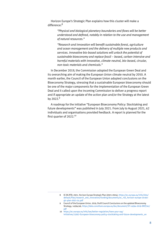Horizon Europe's Strategic Plan explains how this cluster will make a difference:<sup>8</sup>

> *"Physical and biological planetary boundaries and flows will be better understood and defined, notably in relation to the use and management of natural resources."*

*"Research and innovation will benefit sustainable forest, agriculture and ocean management and the delivery of multiple new products and services. Innovative bio-based solutions will unlock the potential of sustainable bioeconomy and replace fossil – based, carbon intensive and harmful materials with innovative, climate-neutral, bio-based, circular, non-toxic materials and chemicals."*

In December 2019, the Commission adopted the European Green Deal and its overarching aim of making the European Union climate neutral by 2050. A month earlier, the Council of the European Union adopted conclusions on the Bioeconomy Strategy, stressing that a sustainable European bioeconomy should be one of the major components for the implementation of the European Green Deal and it called upon the incoming Commission to deliver a progress report and if appropriate an update of the action plan and/or the Strategy at the latest by 2022.<sup>9</sup>

A roadmap for the initiative "European Bioeconomy Policy: Stocktaking and future developments" was published in July 2021. From July to August 2021, 62 individuals and organisations provided feedback. A report is planned for the first quarter of 2022.<sup>10</sup>

<sup>8</sup> EC DG RTD, 2021, Horizon Europe Strategic Plan (2021-2024), [https://ec.europa.eu/info/sites/](https://ec.europa.eu/info/sites/default/files/research_and_innovation/funding/documents/ec_rtd_horizon-europe-strategic-plan-2021-24.pdf) [default/files/research\\_and\\_innovation/funding/documents/ec\\_rtd\\_horizon-europe-strate](https://ec.europa.eu/info/sites/default/files/research_and_innovation/funding/documents/ec_rtd_horizon-europe-strategic-plan-2021-24.pdf)[gic-plan-2021-24.pdf](https://ec.europa.eu/info/sites/default/files/research_and_innovation/funding/documents/ec_rtd_horizon-europe-strategic-plan-2021-24.pdf)

<sup>9</sup> Council of the European Union, 2019, Draft Council Conclusions on the updated Bioeconomy Strategy, 14594/49, [https://data.consilium.europa.eu/doc/document/ST-14594-2019-INIT/en/](https://data.consilium.europa.eu/doc/document/ST-14594-2019-INIT/en/pdf) [pdf](https://data.consilium.europa.eu/doc/document/ST-14594-2019-INIT/en/pdf)

<sup>10</sup> [https://ec.europa.eu/info/law/better-regulation/have-your-say/](https://ec.europa.eu/info/law/better-regulation/have-your-say/initiatives/13057-European-bioeconomy-policy-stocktaking-and-future-developments_en) [initiatives/13057-European-bioeconomy-policy-stocktaking-and-future-developments\\_en](https://ec.europa.eu/info/law/better-regulation/have-your-say/initiatives/13057-European-bioeconomy-policy-stocktaking-and-future-developments_en)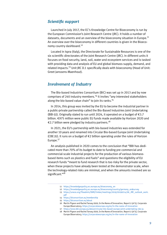### *Scientific support*

Launched in July 2017, the EC's Knowledge Centre for Bioeconomy is run by the European Commission's Joint Research Centre (JRC). It holds a number of datasets, documents and an overview of the bioeconomy situation in Europe.<sup>11</sup> An overview over the bioeconomy in different countries is given in the Bioeconomy country dashboard.<sup>12</sup>

Located in Ispra (Italy), the Directorate for Sustainable Resources is one of the six scientific directorates of the Joint Research Centre (JRC). In different units it focuses on food security, land, soil, water and ecosystem services and is tasked with providing data and analysis of EU and global biomass supply, demand, and related impacts.<sup>13</sup> Unit JRC D.1 specifically deals with bioeconomy (Head of Unit: Greet Janssens-Maenhout).

### *Involvement of Industry*

The Bio-based Industries Consortium (BIC) was set up in 2013 and by now comprises of 240 industry members.<sup>14</sup> It invites "any interested stakeholders along the bio-based value chain" to join its ranks.<sup>15</sup>

In 2014, this group was invited by the EU to become the industrial partner in a public-private partnership called the Bio-Based Industries Joint Undertaking (BBI-JU). Originally slated to run until 2024, it operated on a budget of €3.7 billion. €975 million were public EU funds made available by Horizon 2020 and €2.7 billion were pledged by industry partners.<sup>16</sup>

In 2021, the EU's partnership with bio-based industries was extended for another 10 years and renamed into Circular Bio-based Europe Joint Undertaking (CBE JU). It runs on a budget of  $\epsilon$ 2 billion operating under the rules of Horizon Europe.<sup>17</sup>

An analysis published in 2020 comes to the conclusion that "BBI has dedicated more than 70% of its budget to date to funding pre-commercial and commercial-scale industrial projects for the production of various biomassbased items such as plastics and fuels" and questions the eligibility of EU research funds "meant to fund research that is too risky for the private sector, when these projects have already been tested at the demonstrator scale, when the technology-related risks are minimal, and when the amounts involved are so significant."<sup>18</sup>

12 [https://knowledge4policy.ec.europa.eu/bioeconomy/country/germany\\_en#survey](https://knowledge4policy.ec.europa.eu/bioeconomy/country/germany_en#survey)

- 16 Martin Pigeon and Rachel Tansey 2020, In the Name of Innovation, Report 2 (of 2), Corporate Europe Observatory, <https://corporateeurope.org/en/in-the-name-of-innovation>
- 17 <https://www.bbi.europa.eu/about/circular-bio-based-europe-joint-undertaking-cbe-ju>

<sup>11</sup> [https://knowledge4policy.ec.europa.eu/bioeconomy\\_en](https://knowledge4policy.ec.europa.eu/bioeconomy_en)

<sup>13</sup> [https://unece.org/fileadmin/DAM/timber/meetings/2019/20190214/06\\_JRC\\_outlook\\_work.](https://unece.org/fileadmin/DAM/timber/meetings/2019/20190214/06_JRC_outlook_work.pdf) [pdf](https://unece.org/fileadmin/DAM/timber/meetings/2019/20190214/06_JRC_outlook_work.pdf)

<sup>14</sup> <https://biconsortium.eu/membership>

<sup>15</sup> <https://biconsortium.eu/about>

<sup>18</sup> Martin Pigeon and Rachel Tansey 2020, In the Name of Innovation, Report 2 (of 2), Corporate Europe Observatory, <https://corporateeurope.org/en/in-the-name-of-innovation>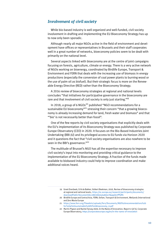### *Involvement of civil society*

While bio-based industry is well organized and well-funded, civil society involvement in drafting and implementing the EU Bioeconomy Strategy has up to now only been sporadic.

Although nearly all major NGOs active in the field of environment and development have offices or representatives in Brussels and their staff cooperates well in a great number of networks, bioeconomy policies seem to be dealt with primarily on the national level.

Several aspects linked with bioeconomy are at the centre of joint campaigns focusing on forests, agriculture, climate or energy. There is a very active network of NGOs working on bioenergy, coordinated by Birdlife Europe, Transport & Environment and FERN that deals with the increasing use of biomass in energy productions (especially the conversion of coal power plants to burning wood or the use of palm oil as biofuel). But their strategic focus is more on the Renewable Energy Directive (RED) rather than the Bioeconomy Strategy.

A 2016 review of bioeconomy strategies at regional and national levels concludes "that initiatives for participative governance in the bioeconomy are rare and that involvement of civil society is only just starting."<sup>19</sup>

In 2018, a group of 6 NGOs<sup>20</sup> published "NGO recommendations for a sustainable EU bioeconomy"<sup>21</sup> stressing their concern "that a growing bioeconomy is already increasing demand for land, fresh water and biomass" and that "bio' is not necessarily better than fossil".

One of the few reports by civil society organisations that explicitly deals with the EU's implementation of its Bioeconomy Strategy was published by Corporate Europe Observatory (CEO) in 2020. It focuses on the Bio-Based Industries Joint Undertaking (BBI-JU) and its privileged access to EU funds via Horizon 2020 and it questions the fact that "civil society organisations are also nowhere to be seen in the BBI's governance."<sup>22</sup>

The multitude of Brussel's NGO has all the expertise necessary to improve civil society's input into monitoring and providing critical guidance to the implementation of the EU Bioeconomy Strategy. A fraction of the funds made available to biobased industry could help to improve coordination and make additional voices heard.

<sup>19</sup> Greet Overbeek, Erik de Bakker, Volkert Beekman, 2016, Review of bioeconomy strategies at regional and national levels, [https://ec.europa.eu/research/participants/documents/](https://ec.europa.eu/research/participants/documents/downloadPublic?documentIds=080166e5a5a82ec7&appId=PPGMS) [downloadPublic?documentIds=080166e5a5a82ec7&appId=PPGMS](https://ec.europa.eu/research/participants/documents/downloadPublic?documentIds=080166e5a5a82ec7&appId=PPGMS)

<sup>20</sup> Birdlife Europe and Central Asia, FERN, Oxfam, Transport & Environment, Wetlands International and Zero Waste Europe

<sup>21</sup> [https://www.fern.org/fileadmin/uploads/fern/Documents/NGO%20recommendations%20](https://www.fern.org/fileadmin/uploads/fern/Documents/NGO recommendations for a sustainable EU bioeconomy_0.pdf) [for%20a%20sustainable%20EU%20bioeconomy\\_0.pdf](https://www.fern.org/fileadmin/uploads/fern/Documents/NGO recommendations for a sustainable EU bioeconomy_0.pdf)

<sup>22</sup> Martin Pigeon and Rachel Tansey 2020, In the Name of Innovation, Report 2 (of 2), Corporate Europe Observatory, <https://corporateeurope.org/en/in-the-name-of-innovation>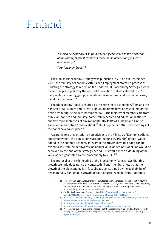### <span id="page-10-0"></span>Finland

*"Finnish bioeconomy is so fundamentally connected to the utilisation of the country's forest resources that Finnish bioeconomy is forest bioeconomy."* 

*Tero Toivanen (2021)*<sup>23</sup>

The Finnish Bioeconomy Strategy was published in 2014.<sup>24</sup> In September 2020, the Ministry of Economic Affairs and Employment started a process of updating the strategy to reflect on the updated EU Bioeconomy Strategy as well as on changes in policy by the centre-left coalition that was elected in 2019. It appointed a steering group, a coordination secretariat and a broad advisory panel for the project.<sup>25</sup>

The Bioeconomy Panel is chaired by the Minister of Economic Affairs and the Minister of Agriculture and Forestry. Its 44 members have been elected for the period from August 2020 to December 2023. The majority of members are from public authorities and industry, some from research and education institutes, and two representatives of environmental NGOs (WWF Finland and Finnish Association for Nature Conservation).<sup>26</sup> Until September 2021, five meetings of the panel have taken place. $27$ 

According to a presentation by an adviser to the Ministry of Economic Affairs and Employment, the bioeconomy accounted for 13% (€27bn) of total value added in the national economy in 2019. If the growth in value added can be raised to 4% from 2020 onwards, an annual value added of €50 billion would be achieved by the end of the strategy period. This would mean a doubling of the value added generated by the bioeconomy by 2035.<sup>28</sup>

The protocol of the 5th meeting of the Bioeconomy Panel shows that this growth scenario does not go uncontested: "Panel members noted that the growth of the bioeconomy is in fact already constrained by the availability of raw materials. Sustainable growth of bio-resources remains important topic

24 The Finnish Bioeconomy Strategy, 2014, [https://www.biotalous.fi/wp-content/](https://www.biotalous.fi/wp-content/uploads/2014/08/The_Finnish_Bioeconomy_Strategy_110620141.pdf) [uploads/2014/08/The\\_Finnish\\_Bioeconomy\\_Strategy\\_110620141.pdf](https://www.biotalous.fi/wp-content/uploads/2014/08/The_Finnish_Bioeconomy_Strategy_110620141.pdf)

- 26 <https://www.biotalous.fi/biotalouspaneelin-jasenet/>
- 27 <https://www.biotalous.fi/suomi-kehittaa/kansallinen-biotalouspaneeli/>
- 28 Presentation by Sari Tasa at the 4<sup>th</sup> meeting of the Bioeconomy Panel, 3.6.21, (translated with DeepL), [https://www.biotalous.fi/wp-content/uploads/2021/06/Biotalousstrategian-paiv](https://www.biotalous.fi/wp-content/uploads/2021/06/Biotalousstrategian-paivitys-20210603.pdf)[itys-20210603.pdf](https://www.biotalous.fi/wp-content/uploads/2021/06/Biotalousstrategian-paivitys-20210603.pdf)

<sup>23</sup> Tero Toivanen, 2021, A Player Bigger Than Its Size: Finnish Bioeconomy and Forest Policy in the Era of Global Climate Politics, in Maria Backhaus et al., 2021, Bioeconomy and Global Inequities, Socio Ecological Perspectives on Biomass Sourcing and Production, Palgrave McMillan, <https://doi.org/10.1007/978-3-030-68944-5>

<sup>25</sup> [https://valtioneuvosto.fi/en/-/1410877/updated-finnish-bioeconomy-strategy-aims-to-pro](https://valtioneuvosto.fi/en/-/1410877/updated-finnish-bioeconomy-strategy-aims-to-promote-sustainable-growth-and-climate-objectives)[mote-sustainable-growth-and-climate-objectives](https://valtioneuvosto.fi/en/-/1410877/updated-finnish-bioeconomy-strategy-aims-to-promote-sustainable-growth-and-climate-objectives)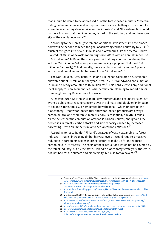that should be dared to be addressed." For the forest-based industry "differentiating between biomass and ecosystem services is a challenge … as wood, for example, is an ecosystem service for this industry" and "the sub-section could do more to show that the bioeconomy is part of the solution, and not the opposite of the circular economy."<sup>29</sup>

According to the Finnish government, additional investment into the bioeconomy will be needed to reach the goal of achieving carbon neutrality by 2035.<sup>30</sup> Much of this goes into new pulp mills and biorefineries like the Metsä Group's Bioproduct Mill in Äänekoski (operating since 2017) with an annual timber use of 6,5 million m<sup>3</sup>. In Kemi, the same group is building another biorefinery that will use 7.6 million  $m<sup>3</sup>$  of wood per year (replacing a pulp mill that used 2.8 million  $m^3$  annually).<sup>31</sup> Additionally, there are plans to build another 4 plants with an additional annual timber use of over 14 million  $m<sup>3,32</sup>$ 

The Natural Resources Institute Finland (Luke) has calculated a sustainable allowable cut of 81 million  $m^3$  per year.<sup>33</sup> Yet, in 2019 roundwood consumption in Finland already amounted to 82 million  $m<sup>3,34</sup>$  This hardly leaves any additional local supply for new biorefineries. Whether they are planning to import timber from neighbouring Russia is not known yet.

Already in 2017, 68 Finnish climate, environmental and ecological scientists wrote a [public letter](http://www.bios.fi/publicstatement/publicstatement240317.pdf) raising concerns over the climate and biodiversity impacts of Finland's forest policy. It highlighted how the idea – which underpins the bioeconomy – that wood-based fuel and wood-based products are always carbon neutral and therefore climate friendly, is essentially a myth: it relies on the belief that the combustion of wood is carbon-neutral, and ignores the decreases in forests' carbon stocks and sink capacity caused by increased harvesting – with an impact similar to actual carbon emissions.<sup>35</sup>

According to Kaisa Raitio, "Finland's [strategy](https://yle.fi/uutiset/3-10818133) of vastly expanding its forest industry – that is, increasing timber harvest levels – would [require](https://yle.fi/uutiset/3-10594354) a massive [reduction](https://yle.fi/uutiset/3-10197219) in carbon emissions in other sectors to make up for the reduced carbon held in its forests. The costs of these reductions would not be covered by the forest industry, but by the state. Finland's bioeconomy strategy is, therefore, not just bad for the climate and biodiversity, but also for taxpayers." $3^6$ 

- 30 [https://valtioneuvosto.fi/en/marin/government-programme/](https://valtioneuvosto.fi/en/marin/government-programme/carbon-neutral-finland-that-protects-biodiversity) [carbon-neutral-finland-that-protects-biodiversity](https://valtioneuvosto.fi/en/marin/government-programme/carbon-neutral-finland-that-protects-biodiversity)
- 31 [https://biorrefineria.blogspot.com/2021/02/Metsa-Fibre-to-build-a-new-bioproduct-mill-in-](https://biorrefineria.blogspot.com/2021/02/Metsa-Fibre-to-build-a-new-bioproduct-mill-in-Kemi.html)[Kemi.html](https://biorrefineria.blogspot.com/2021/02/Metsa-Fibre-to-build-a-new-bioproduct-mill-in-Kemi.html)
- 32 Moritz Albrecht, 2019, Bioökonomie in Finnland: Nachhaltig oder fragwürdig?, [https://denk](https://denkhausbremen.de/biooekonomie-in-finnland-nachhaltig-oder-fragwuerdig/)[hausbremen.de/biooekonomie-in-finnland-nachhaltig-oder-fragwuerdig/](https://denkhausbremen.de/biooekonomie-in-finnland-nachhaltig-oder-fragwuerdig/)
- 33 [https://www.luke.fi/en/natural-resources/forest/forest-resources-and-forest-planning/](https://www.luke.fi/en/natural-resources/forest/forest-resources-and-forest-planning/felling-potential-estimates/) [felling-potential-estimates/](https://www.luke.fi/en/natural-resources/forest/forest-resources-and-forest-planning/felling-potential-estimates/)
- 34 <https://www.luke.fi/en/news/82-million-cubic-metres-of-roundwood-consumed-in-2019/>
- 35 <http://www.bios.fi/publicstatement/publicstatement240317.pdf>
- 36 [https://www.climatechangenews.com/2019/07/09/](https://www.climatechangenews.com/2019/07/09/finlands-forestry-myth-undermines-radical-climate-ambition/) [finlands-forestry-myth-undermines-radical-climate-ambition/](https://www.climatechangenews.com/2019/07/09/finlands-forestry-myth-undermines-radical-climate-ambition/)

<sup>29</sup> Protocol of the 5<sup>th</sup> meeting of the Bioeconomy Panel, 2.9.21, (translated with DeepL), [https://](https://www.biotalous.fi/wp-content/uploads/2021/09/Biotalouspaneelin-ptk_5-20210902.pdf) [www.biotalous.fi/wp-content/uploads/2021/09/Biotalouspaneelin-ptk\\_5-20210902.pdf](https://www.biotalous.fi/wp-content/uploads/2021/09/Biotalouspaneelin-ptk_5-20210902.pdf)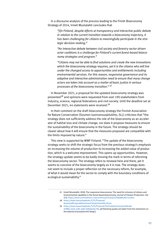In a discourse analysis of the process leading to the Finish Bioeconomy Strategy of 2014, Irmeli Mustalahti concludes that

*"[i]n Finland, despite efforts at transparency and interactive public debate in relation to the current transition towards a bioeconomy trajectory, it has been challenging for citizens to meaningfully participate in the strategic decision-making."*

*"An interactive debate between civil society and forestry sector-driven actor coalitions is a challenge for Finland's current forest-based bioeconomy strategies and program."*

*"Citizens may not be able to find solutions and create the new innovations which the bioeconomy strategy requires, yet it is the citizens who will live under the changed access to opportunities and entitlements including environmental services. For this reason, responsive governance and its adaptive and interactive administration need to ensure that many change actors are taken into account as a matter of basic justice in various processes of the bioeconomy transition."* <sup>37</sup>

In November 2021, a proposal for the updated bioeconomy strategy was presented<sup>38</sup> and opinions were requested from over 190 stakeholders from industry, science, regional federations and civil society. Until the deadline set at December 2021, 44 statements were received:<sup>39</sup>

In their comment on the draft bioeconomy strategy the Finnish Association for Nature Conservation (Soumen luonnonsuojeluliitto, SLL) criticises that "the strategy does not sufficiently address the role of the bioeconomy as an accelerator of habitat loss and climate change, nor does it propose measures to ensure the sustainability of the bioeconomy in the future. The strategy should be clearer about how it will ensure that the measures proposed are compatible with the limits imposed by nature."

This view is supported by WWF Finland: "The update of the bioeconomy strategy seeks to shift the strategic focus from the previous strategy's emphasis on increasing the volume of production to increasing the added value of production, which is a welcome improvement. This opens up opportunities. However, the strategy update seems to be badly missing the mark in terms of reforming the bioeconomy sector. The strategy refers to renewal here and there, yet it seems to conceive of the bioeconomy largely as it is now. The strategy does not seem to include a proper reflection on the necessary reform, for example, of what it would mean for the sector to comply with the boundary conditions of ecological sustainability."

- 38 [https://www.lausuntopalvelu.fi/FI/Proposal/](https://www.lausuntopalvelu.fi/FI/Proposal/DownloadProposalAttachment?attachmentId=16734)
- [DownloadProposalAttachment?attachmentId=16734](https://www.lausuntopalvelu.fi/FI/Proposal/DownloadProposalAttachment?attachmentId=16734)

39 [https://www.lausuntopalvelu.fi/FI/Proposal/Participation?proposalId=9a-](https://www.lausuntopalvelu.fi/FI/Proposal/Participation?proposalId=9a22f89a-2a35-4efe-aabe-b0babc6ac7fd)[22f89a-2a35-4efe-aabe-b0babc6ac7fd](https://www.lausuntopalvelu.fi/FI/Proposal/Participation?proposalId=9a22f89a-2a35-4efe-aabe-b0babc6ac7fd), all following quotes are taken from the statements on the website (translated with DeepL)

<sup>37</sup> Irmeli Mustalahti, 2018, The responsive bioeconomy: The need for inclusion of citizens and environmental capability in the forest based bioeconomy, Journal of Cleaner Production, Vol. 172, <https://www.sciencedirect.com/science/article/pii/S0959652617313021>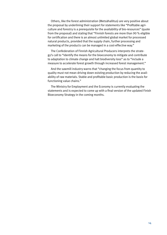Others, like the forest administration (Metsähallitus) are very positive about the proposal by underlining their support for statements like "Profitable agriculture and forestry is a prerequisite for the availability of bio-resources" (quote from the proposal) and stating that "Finnish forests are more than 90 % eligible for certification and there is an almost unlimited global market for processed natural products, provided that the supply chain, further processing and marketing of the products can be managed in a cost-effective way."

The Confederation of Finnish Agricultural Producers interprets the strategy's call to "Identify the means for the bioeconomy to mitigate and contribute to adaptation to climate change and halt biodiversity loss" as to "include a measure to accelerate forest growth through increased forest management."

And the sawmill industry warns that "changing the focus from quantity to quality must not mean driving down existing production by reducing the availability of raw materials. Stable and profitable basic production is the basis for functioning value chains."

The Ministry for Employment and the Economy is currently evaluating the statements and is expected to come up with a final version of the updated Finish Bioeconomy Strategy in the coming months.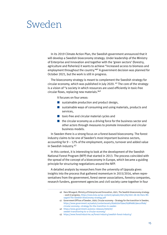### <span id="page-14-0"></span>Sweden

In its 2019 Climate Action Plan, the Swedish government announced that it will develop a Swedish bioeconomy strategy. Under leadership of the Ministry of Enterprise and Innovation and together with the 'green sectors' (forestry, agriculture and fisheries) it wants to achieve "increased access to biomass and employment throughout the country."<sup>40</sup> A government decision was planned for October 2021, but the work is still in progress.

The bioeconomy strategy is meant to complement the Swedish strategy for circular economy, which was published in July 2020. 41 The core of the strategy is a vision of "a society in which resources are used efficiently in toxic-free circular flows, replacing new materials."<sup>42</sup>

It focuses on four areas:

- sustainable production and product design,
- $\blacksquare$  sustainable ways of consuming and using materials, products and services,
- $\blacksquare$  toxic-free and circular material cycles and
- $\blacksquare$  the circular economy as a driving force for the business sector and other actors through measures to promote innovation and circular business models.

In Sweden there is a strong focus on a forest-based bioeconomy. The forest industry claims to be one of Sweden's most important business sectors, accounting for 9 – 12% of the employment, exports, turnover and added value in Swedish industry.<sup>43</sup>

In this context, it is interesting to look at the development of the Swedish National Forest Program (NFP) that started in 2013. The process coincided with the spread of the concept of a bioeconomy in Europe, which became a guiding principle for structuring negotiations around the NFP.

A detailed analysis by researchers from the university of Uppsala gives insights into the process that gathered momentum in 2015/2016, when representatives from the government, forest owner associations, forestry companies, research funders, government agencies and civil society came together in four

- 42 [https://www.government.se/press-releases/2020/07/](https://www.government.se/press-releases/2020/07/sweden-transitioning-to-a-circular-economy/) [sweden-transitioning-to-a-circular-economy/](https://www.government.se/press-releases/2020/07/sweden-transitioning-to-a-circular-economy/)
- 43 <https://www.forestindustries.se/forest-industry/swedish-forest-industry/>

<sup>40</sup> Hans Nilsagard, Ministry of Enterprise and Innovation, 2021, The Swedish bioeconomy strategy – work in progress, [https://www.ksla.se/wp-content/uploads/2021/05/2021-06-09-Hans-Nil](https://www.ksla.se/wp-content/uploads/2021/05/2021-06-09-Hans-Nilsagard-The-Swedish-bioeconomy-strategy.pdf)[sagard-The-Swedish-bioeconomy-strategy.pdf](https://www.ksla.se/wp-content/uploads/2021/05/2021-06-09-Hans-Nilsagard-The-Swedish-bioeconomy-strategy.pdf)

<sup>41</sup> Government Offices of Sweden, 2020, Circular economy – Strategy for the transition in Sweden, [https://www.government.se/4ad42c/contentassets/d5ab250cf59a47b38feb8239eca1f6ab/](https://www.government.se/4ad42c/contentassets/d5ab250cf59a47b38feb8239eca1f6ab/circular-economy--strategy-for-the-transition-in-sweden) [circular-economy--strategy-for-the-transition-in-sweden](https://www.government.se/4ad42c/contentassets/d5ab250cf59a47b38feb8239eca1f6ab/circular-economy--strategy-for-the-transition-in-sweden)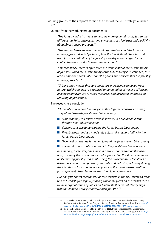working groups.44 Their reports formed the basis of the NFP strategy launched in 2018.

Quotes from the working group documents:

*"The forestry industry needs to become more generally accepted so that different markets, businesses and consumers can feel trust and positivity about forest-based products."*

*"The conflict between environmental organisations and the forestry industry gives a divided picture of how the forest should be used and what for. The credibility of the forestry industry is challenged by the conflict between production and conservation."*

*"Internationally, there is often intensive debate about the sustainability of forestry. When the sustainability of the bioeconomy is questioned, this reflects market uncertainty about the goods and services that the forestry industry provides."*

*"Urbanisation means that consumers are increasingly removed from nature, which can lead to a reduced understanding of the use of forests, anxiety about over-use of forest resources and increased emphasis on reducing deforestation."*

The researchers conclude:

*"Our analysis revealed five storylines that together construct a strong story of the Swedish forest-based bioeconomy:*

- *A bioeconomy will revive Swedish forestry in a sustainable way through neo-industrialisation*
- **n** *Consensus is key to developing the forest-based bioeconomy*
- *Forest owners, industry and state actors take responsibility for the forest-based bioeconomy*
- *Technical knowledge is needed to build the forest-based bioeconomy*
- *The uninformed public is a threat to the forest-based bioeconomy.*

*In summary, these storylines unite in a story about neo-industrialisation, driven by the private sector and supported by the state, simultaneously reviving forestry and establishing the bioeconomy. It facilitates a discourse coalition composed by the state and industry, indirectly driving the idea that actors who are not in favour of the new-industrialisation path represent obstacles to the transition to a bioeconomy.*

*Our analysis shows that the use of "consensus" in the NFP follows a tradition in Swedish forest policymaking where the focus on consensus leads to the marginalization of values and interests that do not clearly align with the dominant story about Swedish forests."* <sup>45</sup>

<sup>44</sup> Klara Fischer, Tove Stenius, and Sara Holmgren, 2020, Swedish Forests in the Bioeconomy: Stories from the National Forest Program, Society & Natural Resources, Vol. 33, No. 7, [https://](https://www.tandfonline.com/doi/epub/10.1080/08941920.2020.1725202?needAccess=true) [www.tandfonline.com/doi/epub/10.1080/08941920.2020.1725202?needAccess=true](https://www.tandfonline.com/doi/epub/10.1080/08941920.2020.1725202?needAccess=true)

<sup>45</sup> Klara Fischer, Tove Stenius, and Sara Holmgren, 2020, Swedish Forests in the Bioeconomy: Stories from the National Forest Program, Society & Natural Resources, Vol. 33, No. 7, [https://](https://www.tandfonline.com/doi/epub/10.1080/08941920.2020.1725202?needAccess=true) [www.tandfonline.com/doi/epub/10.1080/08941920.2020.1725202?needAccess=true](https://www.tandfonline.com/doi/epub/10.1080/08941920.2020.1725202?needAccess=true)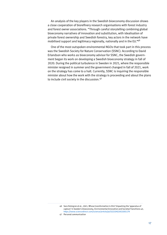An analysis of the key players in the Swedish bioeconomy discussion shows a close cooperation of biorefinery research organisations with forest industry and forest owner associations. "Through careful storytelling combining global bioeconomy narratives of innovation and substitution, with idealisation of private forest ownership and Swedish forestry, key actors in the network have mobilised support and legitimacy regionally, nationally and in the EU."46

One of the most outspoken environmental NGOs that took part in this process was the Swedish Society for Nature Conservation (SSNC). According to David Erlandson who works as bioeconomy advisor for SSNC, the Swedish government began its work on developing a Swedish bioeconomy strategy in fall of 2020. During the political turbulence in Sweden in 2021, where the responsible minister resigned in summer and the government changed in fall of 2021, work on the strategy has come to a halt. Currently, SSNC is inquiring the responsible minister about how the work with the strategy is proceeding and about the plans to include civil society in the discussion.<sup>47</sup>

<sup>46</sup> Sara Holmgren et al., 2021, Whose transformation is this? Unpacking the 'apparatus of capture' in Sweden's bioeconomy, Environmental Innovation and Societal Transitions 42, <https://www.sciencedirect.com/science/article/pii/S2210422421001179>

<sup>47</sup> Personal communication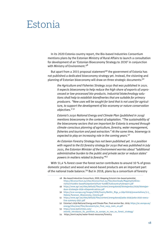## <span id="page-17-0"></span>Estonia

In its 2020 Estonia country report, the Bio-based Industries Consortium mentions plans by the Estonian Ministry of Rural Affairs to launch a consultation for development of an 'Estonian Bioeconomy Strategy to 2030' in conjunction with Ministry of Environment.<sup>48</sup>

But apart from a 2015 proposal statement<sup>49</sup> the government of Estonia has not published a dedicated bioeconomy strategy yet. Instead, the visioning and planning of Estonian bioeconomy will draw on three strategic documents:<sup>50</sup>

*the Agriculture and Fisheries Strategy 2030 that was published in 2021. It expects bioeconomy to help reduce the high share of exports of unprocessed or low-processed bio-products. Industrial biotechnology solutions shall help to establish biorefineries that are suitable for primary producers. "New uses will be sought for land that is not used for agriculture, to support the development of bio-economy or nature conservation objectives."* <sup>51</sup>

*Estonia's 2030 National Energy and Climate Plan (published in 2019) mentions bioeconomy in the context of adaptation. "The sustainability of the bioeconomy sectors that are important for Estonia is ensured through climate-conscious planning of agriculture, forestry, water management, fisheries and tourism and peat extraction." At the same time, bioenergy is expected to play an increasing role in the coming years.*<sup>52</sup>

*An Estonian Forestry Strategy has not been published yet. In a position with regard to the EU forestry strategy for 2030 that was published in July 2021, the Estonian Minister of the Environment worries about "additional administrative burden to the public and private sector or reduce states' powers in matters related to forestry."*<sup>53</sup>

With 51,4 % forest cover the forest sector contributes to around 10 % of gross domestic product and wood and wood-based products are an important part of the national trade balance.<sup>54</sup> But in 2018, plans by a consortium of forestry

- 50 [https://scar-europe.org/images/CASA/Events/Batltic\\_Riga\\_4-5April2019/presentations/3-3\\_](https://scar-europe.org/images/CASA/Events/Batltic_Riga_4-5April2019/presentations/3-3_Helena-Parenson_Bioeconomy_Estonia.pdf) [Helena-Parenson\\_Bioeconomy\\_Estonia.pdf](https://scar-europe.org/images/CASA/Events/Batltic_Riga_4-5April2019/presentations/3-3_Helena-Parenson_Bioeconomy_Estonia.pdf)
- 51 [https://www.agri.ee/sites/default/files/content/arengukavad/poka-2030/poka-2030-execu](https://www.agri.ee/sites/default/files/content/arengukavad/poka-2030/poka-2030-executive-summary-2021.pdf)[tive-summary-2021.pdf](https://www.agri.ee/sites/default/files/content/arengukavad/poka-2030/poka-2030-executive-summary-2021.pdf)
- 52 Estonias's 2030 National Energy and Climate Plan, final version Dec. 2019, [https://ec.europa.eu/](https://ec.europa.eu/energy/sites/ener/files/documents/ee_final_necp_main_en.pdf) [energy/sites/ener/files/documents/ee\\_final\\_necp\\_main\\_en.pdf](https://ec.europa.eu/energy/sites/ener/files/documents/ee_final_necp_main_en.pdf)
- 53 [https://www.baltictimes.com/](https://www.baltictimes.com/estonia_introduces_its_positions_to_europe_re_new_eu_forest_strategy/)
- [estonia\\_introduces\\_its\\_positions\\_to\\_europe\\_re\\_new\\_eu\\_forest\\_strategy/](https://www.baltictimes.com/estonia_introduces_its_positions_to_europe_re_new_eu_forest_strategy/)

<sup>48</sup> Bio-based Industries Consortium, 2020, Mapping Estonia's bio-based potential, [https://biconsortium.eu/sites/biconsortium.eu/files/downloads/Mapping%20Esto](https://biconsortium.eu/sites/biconsortium.eu/files/downloads/Mapping Estonia%27s bio-based potential - BIC country report.pdf)[nia%27s%20bio-based%20potential%20-%20BIC%20country%20report.pdf](https://biconsortium.eu/sites/biconsortium.eu/files/downloads/Mapping Estonia%27s bio-based potential - BIC country report.pdf)

<sup>49</sup> [https://www.agri.ee/sites/default/files/content/arengukavad/biomajandus/2030/biomajan](https://www.agri.ee/sites/default/files/content/arengukavad/biomajandus/2030/biomajanduse-strateegia-2030-ettepanek-eelnou.pdf)[duse-strateegia-2030-ettepanek-eelnou.pdf](https://www.agri.ee/sites/default/files/content/arengukavad/biomajandus/2030/biomajanduse-strateegia-2030-ettepanek-eelnou.pdf)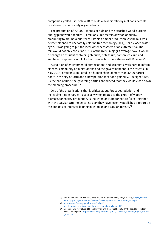companies (called Est-For Invest) to build a new biorefinery met considerable resistance by civil society organisations.

The production of 700.000 tonnes of pulp and the attached wood-burning energy plant would require 3,3 million cubic meters of wood annually, amounting to around a quarter of Estonian timber production. As the mill was neither planned to use totally chlorine free technology (TCF), nor a closed water cycle, it was going to put the local water ecosystem at an extreme risk. The mill would not only consume 1.3 % of the river Emajõgi's average flow, it would discharge an effluent containing chloride, potassium, carbon, calcium and sulphate compounds into Lake Peipus (which Estonia shares with Russia).55

A coalition of environmental organisations and scientists work hard to inform citizens, community administrations and the government about the threats. In May 2018, protests cumulated in a human chain of more than 4.500 participants in the city of Tartu and a new petition that soon gained 9.000 signatures. By the end of June, the governing parties announced that they would close down the planning procedure.<sup>56</sup>

One of the organisations that is critical about forest degradation and increasing timber harvest, especially when related to the export of woody biomass for energy production, is the Estonian Fund for nature (ELF). Together with the Latvian Ornithological Society they have recently published a report on the impacts of intensive logging in Estonian and Latvian forests.<sup>57</sup>

<sup>55</sup> Environmental Paper Network, 2018, Bio-refinery: new name, dirty old story, [https://environ](https://environmentalpaper.org/wp-content/uploads/2018/05/180517-EstFor-briefing-final.pdf)[mentalpaper.org/wp-content/uploads/2018/05/180517-EstFor-briefing-final.pdf](https://environmentalpaper.org/wp-content/uploads/2018/05/180517-EstFor-briefing-final.pdf)

<sup>56</sup> [https://www.fern.org/publications-insight/](https://www.fern.org/publications-insight/people-power-estonians-show-how-to-bring-about-change-69/) [people-power-estonians-show-how-to-bring-about-change-69/](https://www.fern.org/publications-insight/people-power-estonians-show-how-to-bring-about-change-69/)

<sup>57</sup> Estonian Fund for Nature (ELF) and Latvian Ornithological Society (LOB), Dec. 2020, Hidden inside a wood pellet, [https://media.voog.com/0000/0037/1265/files/Biomass\\_report\\_ENG%20](https://media.voog.com/0000/0037/1265/files/Biomass_report_ENG _2020.pdf) [\\_2020.pdf](https://media.voog.com/0000/0037/1265/files/Biomass_report_ENG _2020.pdf)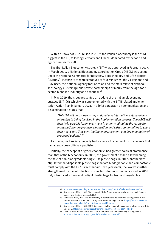# <span id="page-19-0"></span>Italy

With a turnover of €328 billion in 2019, the Italian bioeconomy is the third biggest in the EU, following Germany and France, dominated by the food and agriculture sectors.58

The first Italian Bioeconomy strategy (BIT)<sup>59</sup> was approved in February 2017. In March 2019, a National Bioeconomy Coordination Group (NBCD) was set up under the National Committee for Biosafety, Biotechnology and Life Sciences (CNBBSV). It consists of representatives of four Ministries, the 21 Regions and Provinces, the National Agency for Cohesion and the main relevant National Technology Clusters (public private partnerships primarily from the agri-food sector, biobased industry and fisheries).<sup>60</sup>

In May 2019, the group presented an update of the Italian bioeconomy strategy (BIT II)61 which was supplemented with the BIT II-related Implementation Action Plan in January 2021. In a brief paragraph on communication and dissemination it states that

*"This IAP will be … open to any national and international stakeholders interested in being involved in the implementation process. The NBCB will then hold a public forum every year in order to stimulate the research/ industrial/primary producers/education and citizen communities to share their needs and thus contributing to improvement and implementation of proposed actions."* <sup>62</sup>

As of now, civil society has only had a chance to comment on documents that had already been officially published.

Initially, the concept of a "green economy" had greater political prominence than that of the bioeconomy. In 2006, the government passed a law banning the sale of non-biodegradable single-use plastic bags. In 2012, another law stipulated that disposable plastic bags that are biodegradable and compostable must comply with the EN 13432 standard. Two years later, the law was further strengthened by the introduction of sanctions for non-compliance and in 2018 Italy introduced a ban on ultra-light plastic bags for fruit and vegetables.

- 58 [https://knowledge4policy.ec.europa.eu/bioeconomy/country/italy\\_en#bioeconomics](https://knowledge4policy.ec.europa.eu/bioeconomy/country/italy_en#bioeconomics)
- 59 Government of Italy, 2017, Bioeconomy in Italy: A unique opportunity to reconnect Economy, Society and the Environment (BIT I)
- 60 Fabio Fava et al., 2021, The bioeconomy in Italy and the new national strategy for a more competitive and sustainable country, New Biotechnology, Vol. 61, [https://www.sciencedirect.](https://www.sciencedirect.com/science/article/pii/S1871678420302041#bib0010) [com/science/article/pii/S1871678420302041#bib0010](https://www.sciencedirect.com/science/article/pii/S1871678420302041#bib0010)
- 61 Government of Italy, 2019, BIT II Bioeconomy in Italy: A new bioeconomy strategy for a sustainable Italy, [https://cnbbsv.palazzochigi.it/media/1774/bit\\_en\\_2019\\_02.pdf](https://cnbbsv.palazzochigi.it/media/1774/bit_en_2019_02.pdf)
- 62 CNBBSV, 2021, Implementation Action Plan for the Italian Bioeconomy Strategy BIT II, [https://cnbbsv.palazzochigi.it/media/2079/iap\\_2332021.pdf](https://cnbbsv.palazzochigi.it/media/2079/iap_2332021.pdf)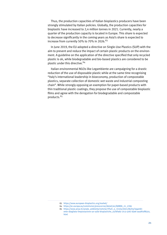Thus, the production capacities of Italian bioplastics producers have been strongly stimulated by Italian policies. Globally, the production capacities for bioplastic have increased to 2,4 million tonnes in 2021. Currently, nearly a quarter of the production capacity is located in Europe. This share is expected to decrease significantly in the coming years as Asia's share is expected to increase from currently 50% to 70% in 2026. $63$ 

In June 2019, the EU adopted a directive on Single-Use Plastics (SUP) with the aim to prevent and reduce the impact of certain plastic products on the environment. A guideline on the application of the directive specified that only recycled plastic is ok, while biodegradable and bio-based plastics are considered to be plastic under this directive.<sup>64</sup>

Italian environmental NGOs like Legambiente are campaigning for a drastic reduction of the use of disposable plastic while at the same time recognising "Italy's international leadership in bioeconomy, production of compostable plastics, separate collection of domestic wet waste and industrial composting chain". While strongly opposing an exemption for paper-based products with thin traditional plastic coatings, they propose the use of compostable bioplastic films and agree with the derogation for biodegradable and compostable products.<sup>65</sup>

<sup>63</sup> <https://www.european-bioplastics.org/market/>

<sup>64</sup> [https://ec.europa.eu/commission/presscorner/detail/en/QANDA\\_21\\_2709](https://ec.europa.eu/commission/presscorner/detail/en/QANDA_21_2709)

<sup>65</sup> [https://www.ansa.it/canale\\_ambiente/notizie/rifiuti\\_e\\_riciclo/2021/06/03/legambi](https://www.ansa.it/canale_ambiente/notizie/rifiuti_e_riciclo/2021/06/03/legambiente-sbagliata-limpostazione-ue-sulle-bioplastiche_e37bfad5-17c3-4261-b3e6-aa46fcdf8324.html)[ente-sbagliata-limpostazione-ue-sulle-bioplastiche\\_e37bfad5-17c3-4261-b3e6-aa46fcdf8324.](https://www.ansa.it/canale_ambiente/notizie/rifiuti_e_riciclo/2021/06/03/legambiente-sbagliata-limpostazione-ue-sulle-bioplastiche_e37bfad5-17c3-4261-b3e6-aa46fcdf8324.html) [html](https://www.ansa.it/canale_ambiente/notizie/rifiuti_e_riciclo/2021/06/03/legambiente-sbagliata-limpostazione-ue-sulle-bioplastiche_e37bfad5-17c3-4261-b3e6-aa46fcdf8324.html)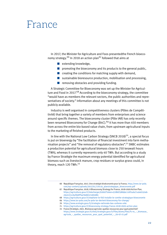### <span id="page-21-0"></span>France

In 2017, the Minister for Agriculture and Foos presentedthe French bioeconomy strategy.<sup>66</sup> In 2018 an action plan<sup>67</sup> followed that aims at

- $\blacksquare$  extending knowledge,
- $\blacksquare$  promoting the bioeconomy and its products to the general public,
- $\blacksquare$  creating the conditions for matching supply with demand,
- $\blacksquare$  sustainable bioresource production, mobilisation and processing,
- $\blacksquare$  removing obstacles and providing funding.

A Strategic Committee for Bioeconomy was set up the Minister for Agriculture and Food in 2017.<sup>68</sup> According to the bioeconomy strategy, the committee "would have as members the relevant sectors, the public authorities and representatives of society." Information about any meetings of this committee is not publicly available.

Industry is well organised in competitiveness clusters (Pôles de Compétitivité) that bring together a variety of members from enterprises and science around specific themes. The bioeconomy cluster (Pôle IAR) has only recently been renamed Bioeconomy for Change (B4C).<sup>69</sup> It has more than 450 members from across the entire bio-based value chain, from upstream agricultural inputs to the marketing of finished products.

In line with the National Low Carbon Strategy (SNCB 2018)<sup>70</sup>, a special focus is put on bioenergy by "the facilitation of financial investment into farm methanisation projects" and "the removal of regulatory obstacles".<sup>71</sup> SNBC estimates a production potential for agricultural biomass close to 250 terawatt hours (TWh), whereas it currently represents only 40 TWh. But according to a study by France Stratégie the maximum energy potential identified for agricultural biomass such as livestock manure, crop residues or surplus grass could, in theory, reach 120 TWh.<sup>72</sup>

70 <https://www.ecologie.gouv.fr/strategie-nationale-bas-carbone-snbc>

<sup>66</sup> Republique Française, 2017, Une stratégie bioéconomie pour la France, [http://www.iar-pole.](http://www.iar-pole.com/wp-content/uploads/2017/01/170119_planstrategique_bioeconomie.pdf) [com/wp-content/uploads/2017/01/170119\\_planstrategique\\_bioeconomie.pdf](http://www.iar-pole.com/wp-content/uploads/2017/01/170119_planstrategique_bioeconomie.pdf)

<sup>67</sup> Republique Française, 2018, A Bioeconomy Strategy for France, 2018-2020 Action Plan, [https://agriculture.gouv.fr/telecharger/91602?token=57d8d758699c110f24d47140e0152ab](https://agriculture.gouv.fr/telecharger/91602?token=57d8d758699c110f24d47140e0152abc6a3121ccb4fde6ffaa79eb6121dd3db5)[c6a3121ccb4fde6ffaa79eb6121dd3db5](https://agriculture.gouv.fr/telecharger/91602?token=57d8d758699c110f24d47140e0152abc6a3121ccb4fde6ffaa79eb6121dd3db5)

<sup>68</sup> <https://agriculture.gouv.fr/stephane-le-foll-installe-le-comite-strategique-bioeconomie>

<sup>69</sup> <https://www.iar-pole.com/le-pole-iar-devient-bioeconomy-for-change/>

<sup>71</sup> <https://agriculture.gouv.fr/bioeconomy-strategy-france-2018-2020-action-plan>

<sup>72</sup> France Stratégie, 2021, Biomasse agricole: quelles ressources pour quel potentiel? [https://www.strategie.gouv.fr/sites/strategie.gouv.fr/files/atoms/files/fs-ns\\_-\\_biomasse\\_](https://www.strategie.gouv.fr/sites/strategie.gouv.fr/files/atoms/files/fs-ns_-_biomasse_agricole_-_quelles_ressources_pour_quel_potentiel_-_29-07-21.pdf) [agricole\\_-\\_quelles\\_ressources\\_pour\\_quel\\_potentiel\\_-\\_29-07-21.pdf](https://www.strategie.gouv.fr/sites/strategie.gouv.fr/files/atoms/files/fs-ns_-_biomasse_agricole_-_quelles_ressources_pour_quel_potentiel_-_29-07-21.pdf)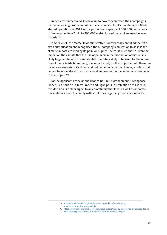French environmental NGOs have up to now concentrated their campaigns on the increasing production of biofuels in France. Total's biorefinery La Mède started operations in 2019 with a production capacity of 500.000 metric tons of "renewable diesel". Up to 300.000 metric tons of palm oil are used as raw material.<sup>73</sup>

In April 2021, the Marseille Administrative Court partially annulled the refinery's authorisation and recognised the oil company's obligation to assess the climatic impacts caused by its palm oil supply. The court ruled that: "Given the impact on the climate that the use of palm oil in the production of biofuels is likely to generate, and the substantial quantities likely to be used for the operation of the La Mède biorefinery, the impact study for the project should therefore include an analysis of its direct and indirect effects on the climate, a notion that cannot be understood in a strictly local manner within the immediate perimeter of the project."<sup>74</sup>

For the applicant associations (France Nature Environnement, Greenpeace France, Les Amis de la Terre France and Ligue pour la Protection des Oiseaux) this decision is a clear signal to any biorefinery that local as well as imported raw materials need to comply with strict rules regarding their sustainability.

<sup>73</sup> [https://totalenergies.com/energy-expertise/projects/bioenergies/](https://totalenergies.com/energy-expertise/projects/bioenergies/la-mede-a-forward-looking-facility) [la-mede-a-forward-looking-facility](https://totalenergies.com/energy-expertise/projects/bioenergies/la-mede-a-forward-looking-facility)

<sup>74</sup> [https://www.amisdelaterre.org/communique-presse/total-la-mede-prise-en-compte-des-im](https://www.amisdelaterre.org/communique-presse/total-la-mede-prise-en-compte-des-impacts-climatiques-le-tribunal-ordonne-a-total-de-revoir-sa-copie/)[pacts-climatiques-le-tribunal-ordonne-a-total-de-revoir-sa-copie/](https://www.amisdelaterre.org/communique-presse/total-la-mede-prise-en-compte-des-impacts-climatiques-le-tribunal-ordonne-a-total-de-revoir-sa-copie/)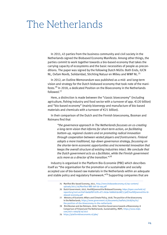### <span id="page-23-0"></span>The Netherlands

In 2011, 43 parties from the business community and civil society in the Netherlands signed the Biobased Economy Manifesto. Among other things, the parties commit to work together towards a bio-based economy that takes the carrying capacity of ecosystems and the basic necessities of people as preconditions. The paper was signed by the following Dutch NGOs: Both Ends, IUCN NL, Oxfam Novib, Solidaridad, Stichting Natuur en Milieu and WWF NL.<sup>75</sup>

In 2012, an Outline Memorandum was published as a mid- and long-term vision and strategy for the Dutch biobased economy that took note of the manifesto.<sup>76</sup> In 2018, a dedicated Position on the Bioeconomy in the Netherlands followed.<sup>77</sup>

Here, a distinction is made between the "classic bioeconomy" (including agriculture, fishing industry and food sector with a turnover of app. €120 billion) and "bio-based economy" (mainly bioenergy and manufacture of bio-based materials and chemicals with a turnover of €21 billion).

In their comparison of the Dutch and the Finnish bioeconomy, Bosman and Rotmans find that

*"the governance approach in The Netherlands focusses on co-creating a long-term vision that informs for short-term action, on facilitating bottom-up, regional clusters and on promoting radical innovation through cooperation between vested players and frontrunners. Finland adopts a more traditional, top-down governance strategy, focussing on the shorter-term economic opportunities and incremental innovation that keeps the overall structure of existing industries intact. We conclude that the Dutch government acts as a facilitator, while the Finnish government acts more as a director of the transition."* <sup>78</sup>

Industry is organised in the Platform Bio-Economie (PBE) which describes itself as "the organisation for the promotion of a sustainable and socially accepted use of bio-based raw materials in the Netherlands within an adequate and stable policy and regulatory framework."<sup>79</sup> Supporting companies that are

<sup>75</sup> Manifest Bio-based Economy, 2011, [http://www.biobasedeconomy.nl/wp-content/](http://www.biobasedeconomy.nl/wp-content/uploads/2011/10/Manifest-BBE-def-29-sep.pdf) [uploads/2011/10/Manifest-BBE-def-29-sep.pdf](http://www.biobasedeconomy.nl/wp-content/uploads/2011/10/Manifest-BBE-def-29-sep.pdf)

<sup>76</sup> Dutch Government, 2012, Hoofdlijnennotitie Biobased Economy, https://[open.overheid.nl/](https://open.overheid.nl/repository/ronl-archief-8a090fbf-b1f6-4f71-8c9a-fe680d19c08f/1/pdf/hoofdlijnennotitie-biobased-economy.pdf) [repository/ronl-archief-8a090fbf-b1f6-4f71-8c9a-fe680d19c08f/1/pdf/hoofdlijnennotitie-bi](https://open.overheid.nl/repository/ronl-archief-8a090fbf-b1f6-4f71-8c9a-fe680d19c08f/1/pdf/hoofdlijnennotitie-biobased-economy.pdf)[obased-economy.pdf](https://open.overheid.nl/repository/ronl-archief-8a090fbf-b1f6-4f71-8c9a-fe680d19c08f/1/pdf/hoofdlijnennotitie-biobased-economy.pdf)

<sup>77</sup> Ministry of Economic Affairs and Climate Policy, 2018, The position of the bioeconomy in the Netherlands, [https://www.government.nl/documents/leaflets/2018/04/01/](https://www.government.nl/documents/leaflets/2018/04/01/the-position-of-the-bioeconomy-in-the-netherlands) [the-position-of-the-bioeconomy-in-the-netherlands](https://www.government.nl/documents/leaflets/2018/04/01/the-position-of-the-bioeconomy-in-the-netherlands)

<sup>78</sup> Rick Bosman and Jan Rotmans, 2016, Transition Governance towards a Bioeconomy: A Comparison of Finland and The Netherlands, Sustainability, MDPI, [https://www.mdpi.](https://www.mdpi.com/2071-1050/8/10/1017) [com/2071-1050/8/10/1017](https://www.mdpi.com/2071-1050/8/10/1017)

<sup>79</sup> <https://platformbioeconomie.nl/pbe/>